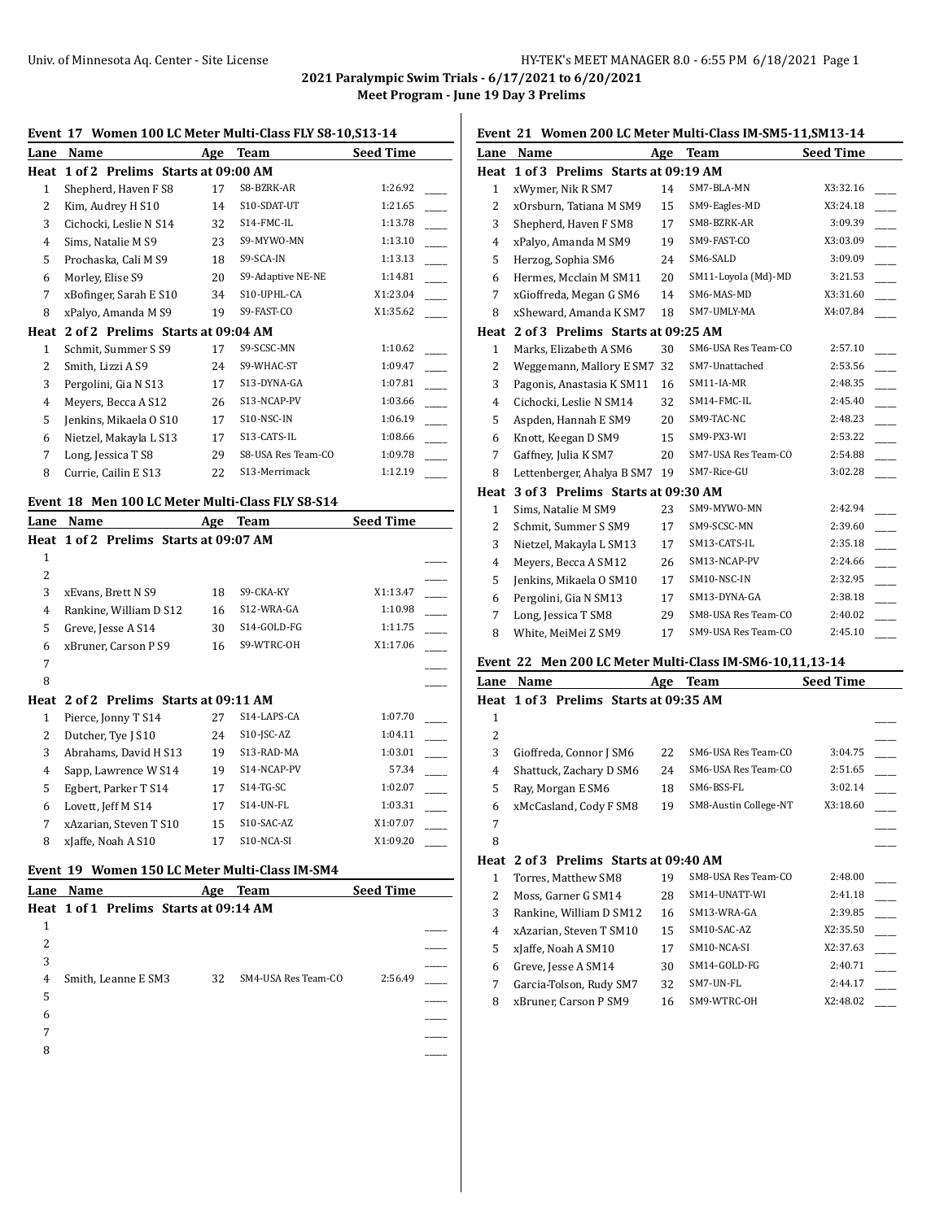**2021 Paralympic Swim Trials - 6/17/2021 to 6/20/2021**

**Meet Program - June 19 Day 3 Prelims**

# **Event 17 Women 100 LC Meter Multi-Class FLY S8-10,S13-14**

| Lane          | Name                              | Age | Team               | <b>Seed Time</b> |
|---------------|-----------------------------------|-----|--------------------|------------------|
| Heat          | 1 of 2 Prelims Starts at 09:00 AM |     |                    |                  |
| 1             | Shepherd, Haven F S8              | 17  | S8-BZRK-AR         | 1:26.92          |
| 2             | Kim, Audrey H S10                 | 14  | S10-SDAT-UT        | 1:21.65          |
| 3             | Cichocki, Leslie N S14            | 32  | S14-FMC-IL         | 1:13.78          |
| 4             | Sims, Natalie M S9                | 23  | S9-MYWO-MN         | 1:13.10          |
| 5             | Prochaska, Cali M S9              | 18  | S9-SCA-IN          | 1:13.13          |
| 6             | Morley, Elise S9                  | 20  | S9-Adaptive NE-NE  | 1:14.81          |
| 7             | xBofinger, Sarah E S10            | 34  | S10-UPHL-CA        | X1:23.04         |
| 8             | xPalyo, Amanda M S9               | 19  | S9-FAST-CO         | X1:35.62         |
| Heat          | 2 of 2 Prelims Starts at 09:04 AM |     |                    |                  |
| 1             | Schmit, Summer S S9               | 17  | S9-SCSC-MN         | 1:10.62          |
| $\mathcal{L}$ | Smith, Lizzi A S9                 | 24  | S9-WHAC-ST         | 1:09.47          |
| 3             | Pergolini, Gia N S13              | 17  | S13-DYNA-GA        | 1:07.81          |
| 4             | Meyers, Becca A S12               | 26  | S13-NCAP-PV        | 1:03.66          |
| 5             | Jenkins, Mikaela O S10            | 17  | S10-NSC-IN         | 1:06.19          |
| 6             | Nietzel, Makayla L S13            | 17  | S13-CATS-IL        | 1:08.66          |
| 7             | Long, Jessica T S8                | 29  | S8-USA Res Team-CO | 1:09.78          |
| 8             | Currie, Cailin E S13              | 22  | S13-Merrimack      | 1:12.19          |
|               |                                   |     |                    |                  |

# **Event 18 Men 100 LC Meter Multi-Class FLY S8-S14**

| Lane | Name                                   | Age | Team        | <b>Seed Time</b> |
|------|----------------------------------------|-----|-------------|------------------|
|      | Heat 1 of 2 Prelims Starts at 09:07 AM |     |             |                  |
| 1    |                                        |     |             |                  |
| 2    |                                        |     |             |                  |
| 3    | xEvans, Brett N S9                     | 18  | S9-CKA-KY   | X1:13.47         |
| 4    | Rankine, William D S12                 | 16  | S12-WRA-GA  | 1:10.98          |
| 5    | Greve, Jesse A S14                     | 30  | S14-GOLD-FG | 1:11.75          |
| 6    | xBruner, Carson P S9                   | 16  | S9-WTRC-OH  | X1:17.06         |
| 7    |                                        |     |             |                  |
| 8    |                                        |     |             |                  |
| Heat | 2 of 2 Prelims Starts at 09:11 AM      |     |             |                  |
| 1    | Pierce, Jonny T S14                    | 27  | S14-LAPS-CA | 1:07.70          |
| 2    | Dutcher, Tye J S10                     | 24  | S10-JSC-AZ  | 1:04.11          |
| 3    | Abrahams, David H S13                  | 19  | S13-RAD-MA  | 1:03.01          |
| 4    | Sapp, Lawrence W S14                   | 19  | S14-NCAP-PV | 57.34            |
| 5    | Egbert, Parker T S14                   | 17  | $S14-TG-SC$ | 1:02.07          |
| 6    | Lovett, Jeff M S14                     | 17  | S14-UN-FL   | 1:03.31          |
| 7    | xAzarian, Steven T S10                 | 15  | S10-SAC-AZ  | X1:07.07         |
| 8    | xJaffe, Noah A S10                     | 17  | S10-NCA-SI  | X1:09.20         |
|      |                                        |     |             |                  |

#### **Event 19 Women 150 LC Meter Multi-Class IM-SM4**

|   | Lane Name                              | Age | Team                | <b>Seed Time</b> |  |
|---|----------------------------------------|-----|---------------------|------------------|--|
|   | Heat 1 of 1 Prelims Starts at 09:14 AM |     |                     |                  |  |
| 1 |                                        |     |                     |                  |  |
| 2 |                                        |     |                     |                  |  |
| 3 |                                        |     |                     |                  |  |
| 4 | Smith, Leanne E SM3                    | 32  | SM4-USA Res Team-CO | 2:56.49          |  |
| 5 |                                        |     |                     |                  |  |
| 6 |                                        |     |                     |                  |  |
| 7 |                                        |     |                     |                  |  |
| 8 |                                        |     |                     |                  |  |
|   |                                        |     |                     |                  |  |

# **Event 21 Women 200 LC Meter Multi-Class IM-SM5-11,SM13-14**

| Lane         | Name                              | Age | Team                | <b>Seed Time</b> |
|--------------|-----------------------------------|-----|---------------------|------------------|
| Heat         | 1 of 3 Prelims Starts at 09:19 AM |     |                     |                  |
| $\mathbf{1}$ | xWymer, Nik R SM7                 | 14  | SM7-BLA-MN          | X3:32.16         |
| 2            | xOrsburn, Tatiana M SM9           | 15  | SM9-Eagles-MD       | X3:24.18         |
| 3            | Shepherd, Haven F SM8             | 17  | SM8-BZRK-AR         | 3:09.39          |
| 4            | xPalyo, Amanda M SM9              | 19  | SM9-FAST-CO         | X3:03.09         |
| 5            | Herzog, Sophia SM6                | 24  | SM6-SALD            | 3:09.09          |
| 6            | Hermes, Mcclain M SM11            | 20  | SM11-Loyola (Md)-MD | 3:21.53          |
| 7            | xGioffreda, Megan G SM6           | 14  | SM6-MAS-MD          | X3:31.60         |
| 8            | xSheward, Amanda K SM7            | 18  | SM7-UMLY-MA         | X4:07.84         |
| Heat         | 2 of 3 Prelims Starts at 09:25 AM |     |                     |                  |
| $\mathbf{1}$ | Marks, Elizabeth A SM6            | 30  | SM6-USA Res Team-CO | 2:57.10          |
| 2            | Weggemann, Mallory E SM7          | 32  | SM7-Unattached      | 2:53.56          |
| 3            | Pagonis, Anastasia K SM11         | 16  | SM11-IA-MR          | 2:48.35          |
| 4            | Cichocki, Leslie N SM14           | 32  | SM14-FMC-IL         | 2:45.40          |
| 5            | Aspden, Hannah E SM9              | 20  | SM9-TAC-NC          | 2:48.23          |
| 6            | Knott, Keegan D SM9               | 15  | SM9-PX3-WI          | 2:53.22          |
| 7            | Gaffney, Julia K SM7              | 20  | SM7-USA Res Team-CO | 2:54.88          |
| 8            | Lettenberger, Ahalya B SM7        | 19  | SM7-Rice-GU         | 3:02.28          |
| Heat         | 3 of 3 Prelims Starts at 09:30 AM |     |                     |                  |
| $\mathbf{1}$ | Sims, Natalie M SM9               | 23  | SM9-MYWO-MN         | 2:42.94          |
| 2            | Schmit, Summer S SM9              | 17  | SM9-SCSC-MN         | 2:39.60          |
| 3            | Nietzel, Makayla L SM13           | 17  | SM13-CATS-IL        | 2:35.18          |
| 4            | Meyers, Becca A SM12              | 26  | SM13-NCAP-PV        | 2:24.66          |
| 5            | Jenkins, Mikaela O SM10           | 17  | SM10-NSC-IN         | 2:32.95          |
| 6            | Pergolini, Gia N SM13             | 17  | SM13-DYNA-GA        | 2:38.18          |
| 7            | Long, Jessica T SM8               | 29  | SM8-USA Res Team-CO | 2:40.02          |
| 8            | White, MeiMei Z SM9               | 17  | SM9-USA Res Team-CO | 2:45.10          |
|              |                                   |     |                     |                  |

# **Event 22 Men 200 LC Meter Multi-Class IM-SM6-10,11,13-14**

| Lane | Name                                   | Age | <b>Team</b>           | <b>Seed Time</b> |  |
|------|----------------------------------------|-----|-----------------------|------------------|--|
|      | Heat 1 of 3 Prelims Starts at 09:35 AM |     |                       |                  |  |
| 1    |                                        |     |                       |                  |  |
| 2    |                                        |     |                       |                  |  |
| 3    | Gioffreda, Connor J SM6                | 22  | SM6-USA Res Team-CO   | 3:04.75          |  |
| 4    | Shattuck, Zachary D SM6                | 24  | SM6-USA Res Team-CO   | 2:51.65          |  |
| 5    | Ray, Morgan E SM6                      | 18  | SM6-BSS-FL            | 3:02.14          |  |
| 6    | xMcCasland, Cody F SM8                 | 19  | SM8-Austin College-NT | X3:18.60         |  |
| 7    |                                        |     |                       |                  |  |
| 8    |                                        |     |                       |                  |  |
| Heat | 2 of 3 Prelims Starts at 09:40 AM      |     |                       |                  |  |
| 1    | Torres, Matthew SM8                    | 19  | SM8-USA Res Team-CO   | 2:48.00          |  |
| 2    | Moss, Garner G SM14                    | 28  | SM14-UNATT-WI         | 2:41.18          |  |
| 3    | Rankine, William D SM12                | 16  | SM13-WRA-GA           | 2:39.85          |  |
| 4    | xAzarian, Steven T SM10                | 15  | SM10-SAC-AZ           | X2:35.50         |  |
| 5    | xJaffe, Noah A SM10                    | 17  | SM10-NCA-SI           | X2:37.63         |  |
| 6    | Greve, Jesse A SM14                    | 30  | SM14-GOLD-FG          | 2:40.71          |  |

| Garcia-Tolson, Rudy SM7 | 32 | SM7-UN-FL   | 2:44.17  |  |
|-------------------------|----|-------------|----------|--|
| 8 xBruner, Carson P SM9 |    | SM9-WTRC-OH | X2:48.02 |  |